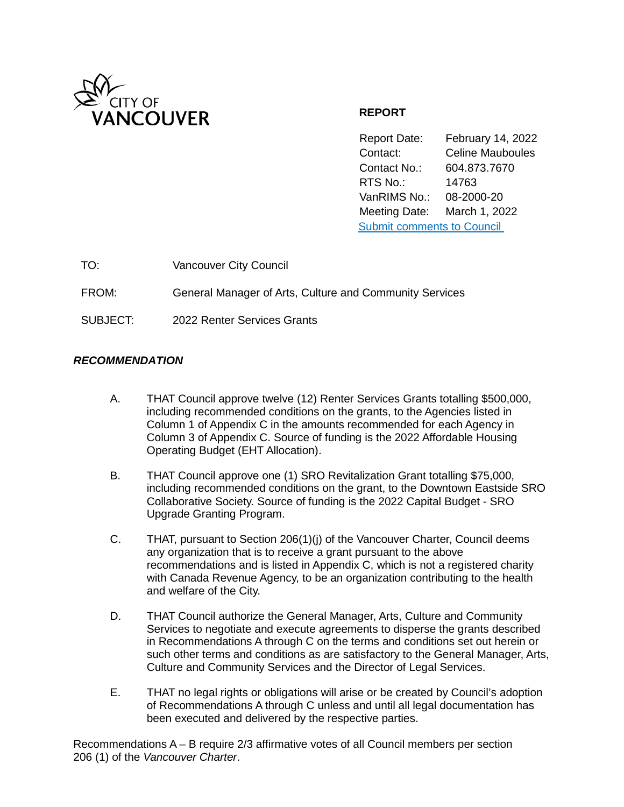

# **REPORT**

Report Date: February 14, 2022 Contact: Celine Mauboules Contact No.: 604.873.7670 RTS No.: 14763 VanRIMS No.: 08-2000-20 Meeting Date: March 1, 2022 [Submit comments to Council](https://vancouver.ca/your-government/contact-council.aspx) 

| TO:      | <b>Vancouver City Council</b>                           |
|----------|---------------------------------------------------------|
| FROM:    | General Manager of Arts, Culture and Community Services |
| SUBJECT: | 2022 Renter Services Grants                             |

## *RECOMMENDATION*

- A. THAT Council approve twelve (12) Renter Services Grants totalling \$500,000, including recommended conditions on the grants, to the Agencies listed in Column 1 of Appendix C in the amounts recommended for each Agency in Column 3 of Appendix C. Source of funding is the 2022 Affordable Housing Operating Budget (EHT Allocation).
- B. THAT Council approve one (1) SRO Revitalization Grant totalling \$75,000, including recommended conditions on the grant, to the Downtown Eastside SRO Collaborative Society. Source of funding is the 2022 Capital Budget - SRO Upgrade Granting Program.
- C. THAT, pursuant to Section 206(1)(j) of the Vancouver Charter, Council deems any organization that is to receive a grant pursuant to the above recommendations and is listed in Appendix C, which is not a registered charity with Canada Revenue Agency, to be an organization contributing to the health and welfare of the City.
- D. THAT Council authorize the General Manager, Arts, Culture and Community Services to negotiate and execute agreements to disperse the grants described in Recommendations A through C on the terms and conditions set out herein or such other terms and conditions as are satisfactory to the General Manager, Arts, Culture and Community Services and the Director of Legal Services.
- E. THAT no legal rights or obligations will arise or be created by Council's adoption of Recommendations A through C unless and until all legal documentation has been executed and delivered by the respective parties.

Recommendations A – B require 2/3 affirmative votes of all Council members per section 206 (1) of the *Vancouver Charter*.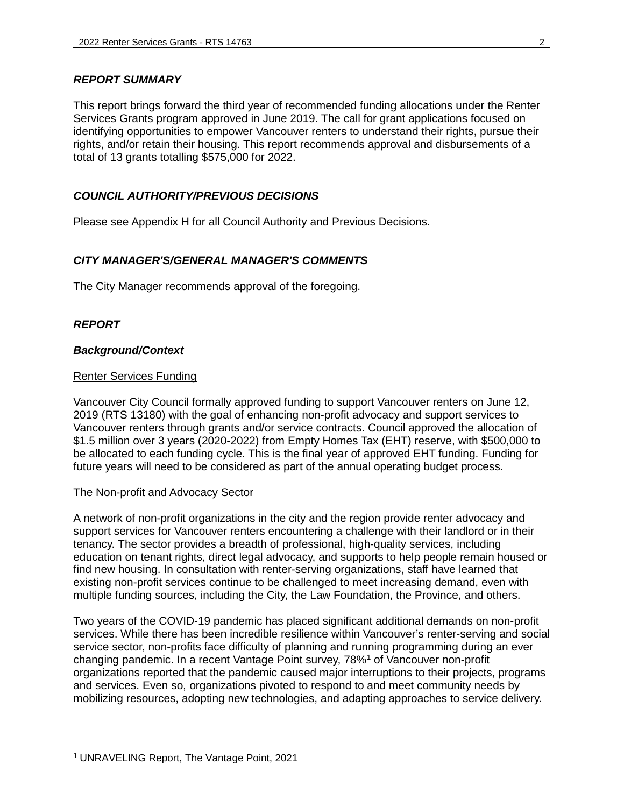### *REPORT SUMMARY*

This report brings forward the third year of recommended funding allocations under the Renter Services Grants program approved in June 2019. The call for grant applications focused on identifying opportunities to empower Vancouver renters to understand their rights, pursue their rights, and/or retain their housing. This report recommends approval and disbursements of a total of 13 grants totalling \$575,000 for 2022.

### *COUNCIL AUTHORITY/PREVIOUS DECISIONS*

Please see Appendix H for all Council Authority and Previous Decisions.

### *CITY MANAGER'S/GENERAL MANAGER'S COMMENTS*

The City Manager recommends approval of the foregoing.

### *REPORT*

#### *Background/Context*

#### Renter Services Funding

Vancouver City Council formally approved funding to support Vancouver renters on June 12, 2019 (RTS 13180) with the goal of enhancing non-profit advocacy and support services to Vancouver renters through grants and/or service contracts. Council approved the allocation of \$1.5 million over 3 years (2020-2022) from Empty Homes Tax (EHT) reserve, with \$500,000 to be allocated to each funding cycle. This is the final year of approved EHT funding. Funding for future years will need to be considered as part of the annual operating budget process.

### The Non-profit and Advocacy Sector

A network of non-profit organizations in the city and the region provide renter advocacy and support services for Vancouver renters encountering a challenge with their landlord or in their tenancy. The sector provides a breadth of professional, high-quality services, including education on tenant rights, direct legal advocacy, and supports to help people remain housed or find new housing. In consultation with renter-serving organizations, staff have learned that existing non-profit services continue to be challenged to meet increasing demand, even with multiple funding sources, including the City, the Law Foundation, the Province, and others.

Two years of the COVID-19 pandemic has placed significant additional demands on non-profit services. While there has been incredible resilience within Vancouver's renter-serving and social service sector, non-profits face difficulty of planning and running programming during an ever changing pandemic. In a recent Vantage Point survey, 78%<sup>[1](#page-1-0)</sup> of Vancouver non-profit organizations reported that the pandemic caused major interruptions to their projects, programs and services. Even so, organizations pivoted to respond to and meet community needs by mobilizing resources, adopting new technologies, and adapting approaches to service delivery.

<span id="page-1-0"></span><sup>1</sup> [UNRAVELING Report, The Vantage Point,](https://thevantagepoint.egnyte.com/dl/DsesKlvvvR/unraveling-report-V05.pdf_) 2021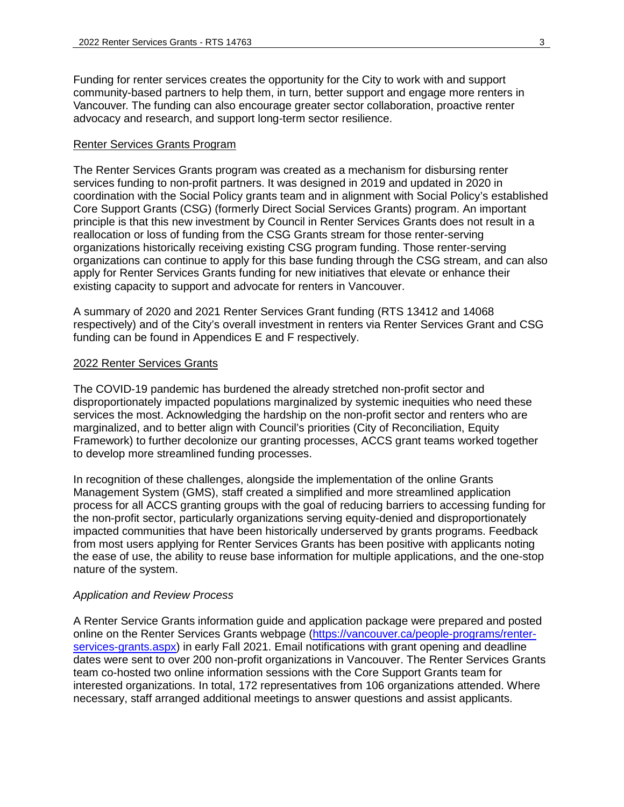Funding for renter services creates the opportunity for the City to work with and support community-based partners to help them, in turn, better support and engage more renters in Vancouver. The funding can also encourage greater sector collaboration, proactive renter advocacy and research, and support long-term sector resilience.

#### Renter Services Grants Program

The Renter Services Grants program was created as a mechanism for disbursing renter services funding to non-profit partners. It was designed in 2019 and updated in 2020 in coordination with the Social Policy grants team and in alignment with Social Policy's established Core Support Grants (CSG) (formerly Direct Social Services Grants) program. An important principle is that this new investment by Council in Renter Services Grants does not result in a reallocation or loss of funding from the CSG Grants stream for those renter-serving organizations historically receiving existing CSG program funding. Those renter-serving organizations can continue to apply for this base funding through the CSG stream, and can also apply for Renter Services Grants funding for new initiatives that elevate or enhance their existing capacity to support and advocate for renters in Vancouver.

A summary of 2020 and 2021 Renter Services Grant funding (RTS 13412 and 14068 respectively) and of the City's overall investment in renters via Renter Services Grant and CSG funding can be found in Appendices E and F respectively.

#### 2022 Renter Services Grants

The COVID-19 pandemic has burdened the already stretched non-profit sector and disproportionately impacted populations marginalized by systemic inequities who need these services the most. Acknowledging the hardship on the non-profit sector and renters who are marginalized, and to better align with Council's priorities (City of Reconciliation, Equity Framework) to further decolonize our granting processes, ACCS grant teams worked together to develop more streamlined funding processes.

In recognition of these challenges, alongside the implementation of the online Grants Management System (GMS), staff created a simplified and more streamlined application process for all ACCS granting groups with the goal of reducing barriers to accessing funding for the non-profit sector, particularly organizations serving equity-denied and disproportionately impacted communities that have been historically underserved by grants programs. Feedback from most users applying for Renter Services Grants has been positive with applicants noting the ease of use, the ability to reuse base information for multiple applications, and the one-stop nature of the system.

#### *Application and Review Process*

A Renter Service Grants information guide and application package were prepared and posted online on the Renter Services Grants webpage [\(https://vancouver.ca/people-programs/renter](https://vancouver.ca/people-programs/renter-services-grants.aspx)[services-grants.aspx\)](https://vancouver.ca/people-programs/renter-services-grants.aspx) in early Fall 2021. Email notifications with grant opening and deadline dates were sent to over 200 non-profit organizations in Vancouver. The Renter Services Grants team co-hosted two online information sessions with the Core Support Grants team for interested organizations. In total, 172 representatives from 106 organizations attended. Where necessary, staff arranged additional meetings to answer questions and assist applicants.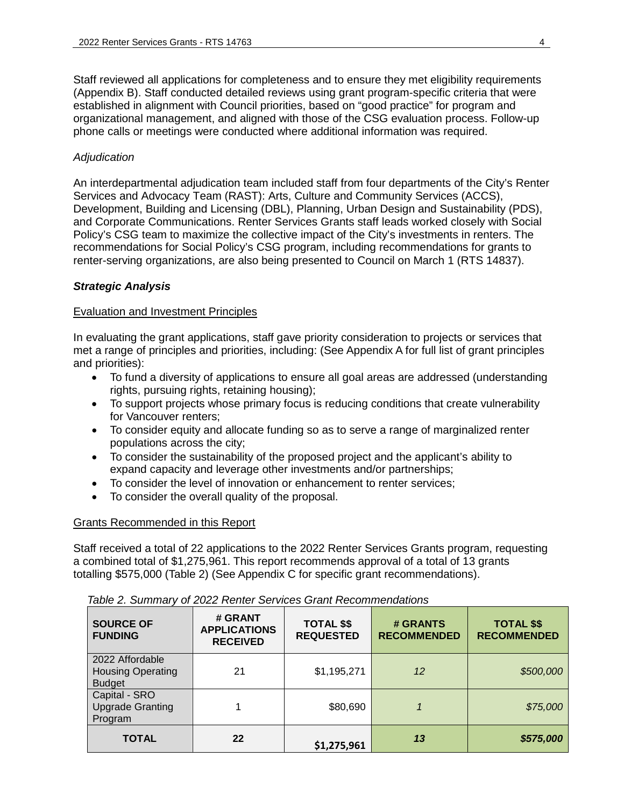Staff reviewed all applications for completeness and to ensure they met eligibility requirements (Appendix B). Staff conducted detailed reviews using grant program-specific criteria that were established in alignment with Council priorities, based on "good practice" for program and organizational management, and aligned with those of the CSG evaluation process. Follow-up phone calls or meetings were conducted where additional information was required.

### *Adjudication*

An interdepartmental adjudication team included staff from four departments of the City's Renter Services and Advocacy Team (RAST): Arts, Culture and Community Services (ACCS), Development, Building and Licensing (DBL), Planning, Urban Design and Sustainability (PDS), and Corporate Communications. Renter Services Grants staff leads worked closely with Social Policy's CSG team to maximize the collective impact of the City's investments in renters. The recommendations for Social Policy's CSG program, including recommendations for grants to renter-serving organizations, are also being presented to Council on March 1 (RTS 14837).

### *Strategic Analysis*

### Evaluation and Investment Principles

In evaluating the grant applications, staff gave priority consideration to projects or services that met a range of principles and priorities, including: (See Appendix A for full list of grant principles and priorities):

- To fund a diversity of applications to ensure all goal areas are addressed (understanding rights, pursuing rights, retaining housing);
- To support projects whose primary focus is reducing conditions that create vulnerability for Vancouver renters;
- To consider equity and allocate funding so as to serve a range of marginalized renter populations across the city;
- To consider the sustainability of the proposed project and the applicant's ability to expand capacity and leverage other investments and/or partnerships;
- To consider the level of innovation or enhancement to renter services;
- To consider the overall quality of the proposal.

### Grants Recommended in this Report

Staff received a total of 22 applications to the 2022 Renter Services Grants program, requesting a combined total of \$1,275,961. This report recommends approval of a total of 13 grants totalling \$575,000 (Table 2) (See Appendix C for specific grant recommendations).

| <b>SOURCE OF</b><br><b>FUNDING</b>                           | # GRANT<br><b>APPLICATIONS</b><br><b>RECEIVED</b> | <b>TOTAL \$\$</b><br><b>REQUESTED</b> | # GRANTS<br><b>RECOMMENDED</b> | <b>TOTAL \$\$</b><br><b>RECOMMENDED</b> |
|--------------------------------------------------------------|---------------------------------------------------|---------------------------------------|--------------------------------|-----------------------------------------|
| 2022 Affordable<br><b>Housing Operating</b><br><b>Budget</b> | 21                                                | \$1,195,271                           | 12                             | \$500,000                               |
| Capital - SRO<br><b>Upgrade Granting</b><br>Program          |                                                   | \$80,690                              |                                | \$75,000                                |
| <b>TOTAL</b>                                                 | 22                                                | \$1,275,961                           | 13                             | \$575,000                               |

*Table 2. Summary of 2022 Renter Services Grant Recommendations*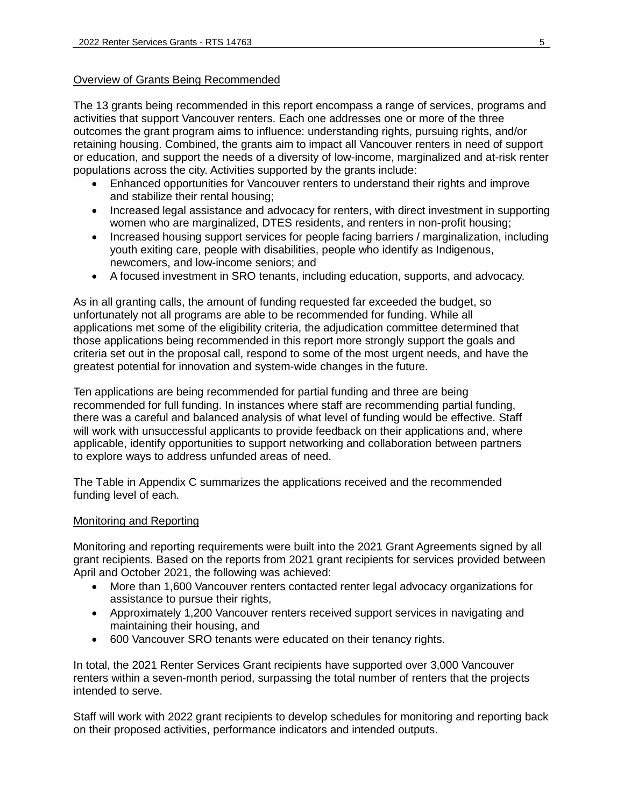## Overview of Grants Being Recommended

The 13 grants being recommended in this report encompass a range of services, programs and activities that support Vancouver renters. Each one addresses one or more of the three outcomes the grant program aims to influence: understanding rights, pursuing rights, and/or retaining housing. Combined, the grants aim to impact all Vancouver renters in need of support or education, and support the needs of a diversity of low-income, marginalized and at-risk renter populations across the city. Activities supported by the grants include:

- Enhanced opportunities for Vancouver renters to understand their rights and improve and stabilize their rental housing;
- Increased legal assistance and advocacy for renters, with direct investment in supporting women who are marginalized, DTES residents, and renters in non-profit housing;
- Increased housing support services for people facing barriers / marginalization, including youth exiting care, people with disabilities, people who identify as Indigenous, newcomers, and low-income seniors; and
- A focused investment in SRO tenants, including education, supports, and advocacy.

As in all granting calls, the amount of funding requested far exceeded the budget, so unfortunately not all programs are able to be recommended for funding. While all applications met some of the eligibility criteria, the adjudication committee determined that those applications being recommended in this report more strongly support the goals and criteria set out in the proposal call, respond to some of the most urgent needs, and have the greatest potential for innovation and system-wide changes in the future.

Ten applications are being recommended for partial funding and three are being recommended for full funding. In instances where staff are recommending partial funding, there was a careful and balanced analysis of what level of funding would be effective. Staff will work with unsuccessful applicants to provide feedback on their applications and, where applicable, identify opportunities to support networking and collaboration between partners to explore ways to address unfunded areas of need.

The Table in Appendix C summarizes the applications received and the recommended funding level of each.

### Monitoring and Reporting

Monitoring and reporting requirements were built into the 2021 Grant Agreements signed by all grant recipients. Based on the reports from 2021 grant recipients for services provided between April and October 2021, the following was achieved:

- More than 1,600 Vancouver renters contacted renter legal advocacy organizations for assistance to pursue their rights,
- Approximately 1,200 Vancouver renters received support services in navigating and maintaining their housing, and
- 600 Vancouver SRO tenants were educated on their tenancy rights.

In total, the 2021 Renter Services Grant recipients have supported over 3,000 Vancouver renters within a seven-month period, surpassing the total number of renters that the projects intended to serve.

Staff will work with 2022 grant recipients to develop schedules for monitoring and reporting back on their proposed activities, performance indicators and intended outputs.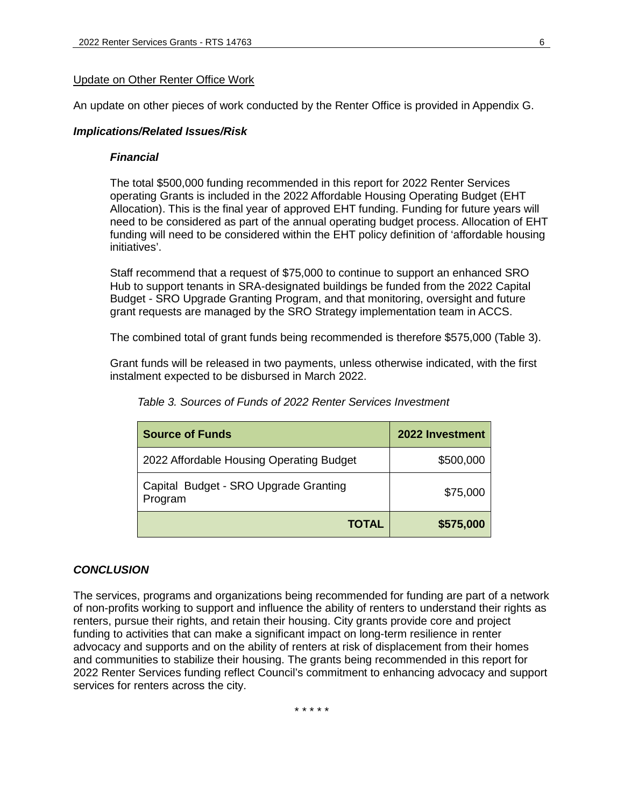### Update on Other Renter Office Work

An update on other pieces of work conducted by the Renter Office is provided in Appendix G.

#### *Implications/Related Issues/Risk*

#### *Financial*

The total \$500,000 funding recommended in this report for 2022 Renter Services operating Grants is included in the 2022 Affordable Housing Operating Budget (EHT Allocation). This is the final year of approved EHT funding. Funding for future years will need to be considered as part of the annual operating budget process. Allocation of EHT funding will need to be considered within the EHT policy definition of 'affordable housing initiatives'.

Staff recommend that a request of \$75,000 to continue to support an enhanced SRO Hub to support tenants in SRA-designated buildings be funded from the 2022 Capital Budget - SRO Upgrade Granting Program, and that monitoring, oversight and future grant requests are managed by the SRO Strategy implementation team in ACCS.

The combined total of grant funds being recommended is therefore \$575,000 (Table 3).

Grant funds will be released in two payments, unless otherwise indicated, with the first instalment expected to be disbursed in March 2022.

| <b>Source of Funds</b>                           | 2022 Investment |
|--------------------------------------------------|-----------------|
| 2022 Affordable Housing Operating Budget         | \$500,000       |
| Capital Budget - SRO Upgrade Granting<br>Program | \$75,000        |
| <b>TOTAL</b>                                     | \$575,000       |

*Table 3. Sources of Funds of 2022 Renter Services Investment*

### *CONCLUSION*

The services, programs and organizations being recommended for funding are part of a network of non-profits working to support and influence the ability of renters to understand their rights as renters, pursue their rights, and retain their housing. City grants provide core and project funding to activities that can make a significant impact on long-term resilience in renter advocacy and supports and on the ability of renters at risk of displacement from their homes and communities to stabilize their housing. The grants being recommended in this report for 2022 Renter Services funding reflect Council's commitment to enhancing advocacy and support services for renters across the city.

\* \* \* \* \*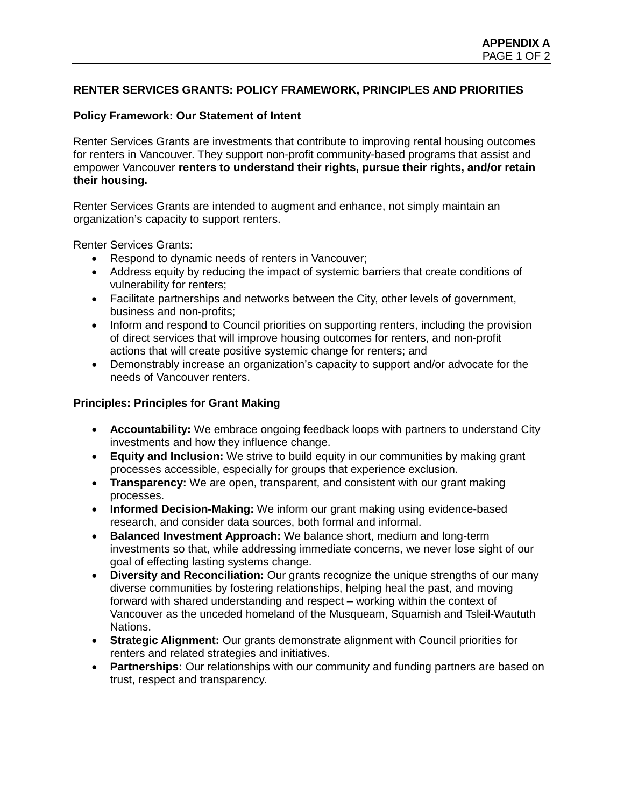# **RENTER SERVICES GRANTS: POLICY FRAMEWORK, PRINCIPLES AND PRIORITIES**

## **Policy Framework: Our Statement of Intent**

Renter Services Grants are investments that contribute to improving rental housing outcomes for renters in Vancouver. They support non-profit community-based programs that assist and empower Vancouver **renters to understand their rights, pursue their rights, and/or retain their housing.**

Renter Services Grants are intended to augment and enhance, not simply maintain an organization's capacity to support renters.

Renter Services Grants:

- Respond to dynamic needs of renters in Vancouver;
- Address equity by reducing the impact of systemic barriers that create conditions of vulnerability for renters;
- Facilitate partnerships and networks between the City, other levels of government, business and non-profits;
- Inform and respond to Council priorities on supporting renters, including the provision of direct services that will improve housing outcomes for renters, and non-profit actions that will create positive systemic change for renters; and
- Demonstrably increase an organization's capacity to support and/or advocate for the needs of Vancouver renters.

### **Principles: Principles for Grant Making**

- **Accountability:** We embrace ongoing feedback loops with partners to understand City investments and how they influence change.
- **Equity and Inclusion:** We strive to build equity in our communities by making grant processes accessible, especially for groups that experience exclusion.
- **Transparency:** We are open, transparent, and consistent with our grant making processes.
- **Informed Decision-Making:** We inform our grant making using evidence-based research, and consider data sources, both formal and informal.
- **Balanced Investment Approach:** We balance short, medium and long-term investments so that, while addressing immediate concerns, we never lose sight of our goal of effecting lasting systems change.
- **Diversity and Reconciliation:** Our grants recognize the unique strengths of our many diverse communities by fostering relationships, helping heal the past, and moving forward with shared understanding and respect – working within the context of Vancouver as the unceded homeland of the Musqueam, Squamish and Tsleil-Waututh Nations.
- **Strategic Alignment:** Our grants demonstrate alignment with Council priorities for renters and related strategies and initiatives.
- **Partnerships:** Our relationships with our community and funding partners are based on trust, respect and transparency.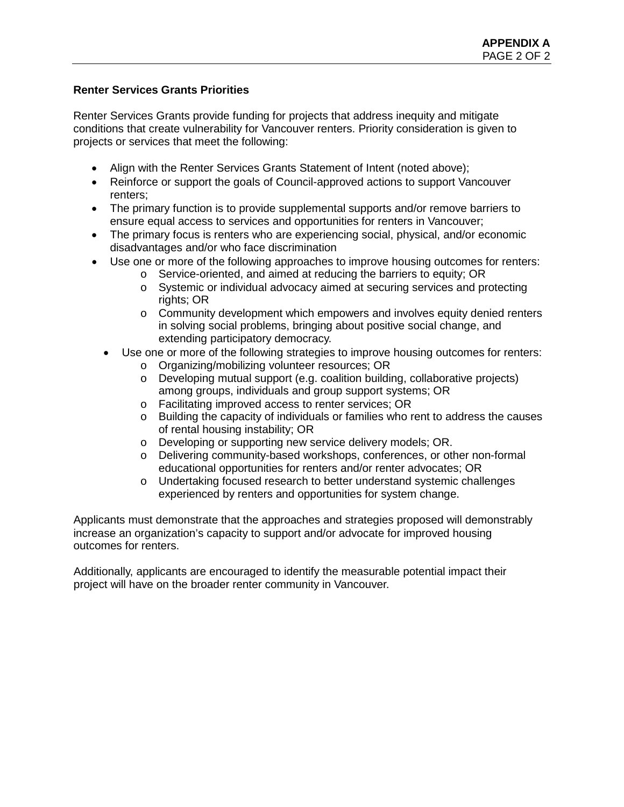## **Renter Services Grants Priorities**

Renter Services Grants provide funding for projects that address inequity and mitigate conditions that create vulnerability for Vancouver renters. Priority consideration is given to projects or services that meet the following:

- Align with the Renter Services Grants Statement of Intent (noted above);
- Reinforce or support the goals of Council-approved actions to support Vancouver renters;
- The primary function is to provide supplemental supports and/or remove barriers to ensure equal access to services and opportunities for renters in Vancouver;
- The primary focus is renters who are experiencing social, physical, and/or economic disadvantages and/or who face discrimination
- Use one or more of the following approaches to improve housing outcomes for renters:
	- o Service-oriented, and aimed at reducing the barriers to equity; OR
	- o Systemic or individual advocacy aimed at securing services and protecting rights; OR
	- o Community development which empowers and involves equity denied renters in solving social problems, bringing about positive social change, and extending participatory democracy.
	- Use one or more of the following strategies to improve housing outcomes for renters:
		- o Organizing/mobilizing volunteer resources; OR
		- o Developing mutual support (e.g. coalition building, collaborative projects) among groups, individuals and group support systems; OR
		- o Facilitating improved access to renter services; OR
		- o Building the capacity of individuals or families who rent to address the causes of rental housing instability; OR
		- o Developing or supporting new service delivery models; OR.
		- o Delivering community-based workshops, conferences, or other non-formal educational opportunities for renters and/or renter advocates; OR
		- o Undertaking focused research to better understand systemic challenges experienced by renters and opportunities for system change.

Applicants must demonstrate that the approaches and strategies proposed will demonstrably increase an organization's capacity to support and/or advocate for improved housing outcomes for renters.

Additionally, applicants are encouraged to identify the measurable potential impact their project will have on the broader renter community in Vancouver.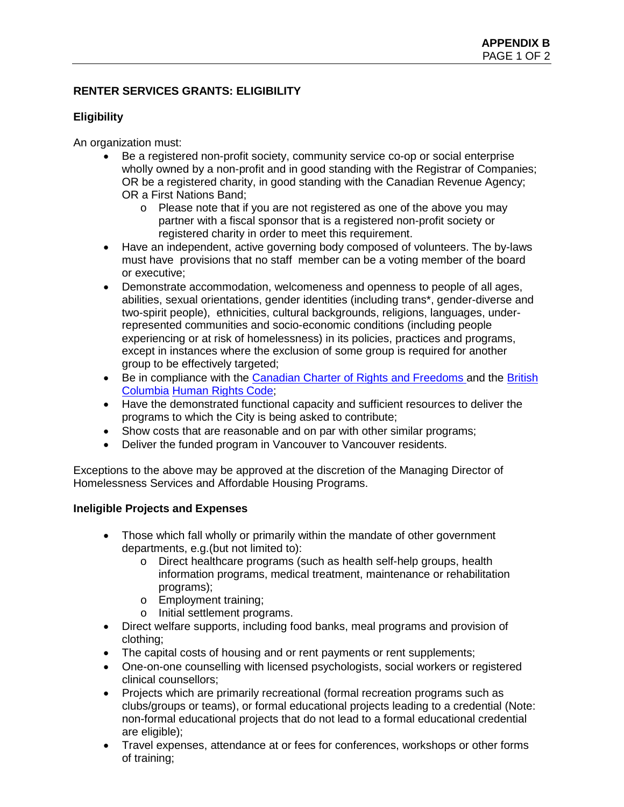# **RENTER SERVICES GRANTS: ELIGIBILITY**

# **Eligibility**

An organization must:

- Be a registered non-profit society, community service co-op or social enterprise wholly owned by a non-profit and in good standing with the Registrar of Companies; OR be a registered charity, in good standing with the Canadian Revenue Agency; OR a First Nations Band;
	- o Please note that if you are not registered as one of the above you may partner with a fiscal sponsor that is a registered non-profit society or registered charity in order to meet this requirement.
- Have an independent, active governing body composed of volunteers. The by-laws must have provisions that no staff member can be a voting member of the board or executive;
- Demonstrate accommodation, welcomeness and openness to people of all ages, abilities, sexual orientations, gender identities (including trans\*, gender-diverse and two-spirit people), ethnicities, cultural backgrounds, religions, languages, underrepresented communities and socio-economic conditions (including people experiencing or at risk of homelessness) in its policies, practices and programs, except in instances where the exclusion of some group is required for another group to be effectively targeted;
- Be in compliance with the [Canadian Charter of Rights and Freedoms a](https://laws-lois.justice.gc.ca/eng/const/page-12.html)nd the British [Columbia](https://www.bclaws.ca/Recon/document/ID/freeside/00_96210_01) [Human Rights Code;](https://www.bclaws.ca/Recon/document/ID/freeside/00_96210_01)
- Have the demonstrated functional capacity and sufficient resources to deliver the programs to which the City is being asked to contribute;
- Show costs that are reasonable and on par with other similar programs;
- Deliver the funded program in Vancouver to Vancouver residents.

Exceptions to the above may be approved at the discretion of the Managing Director of Homelessness Services and Affordable Housing Programs.

## **Ineligible Projects and Expenses**

- Those which fall wholly or primarily within the mandate of other government departments, e.g.(but not limited to):
	- o Direct healthcare programs (such as health self-help groups, health information programs, medical treatment, maintenance or rehabilitation programs);
	- o Employment training;
	- o Initial settlement programs.
- Direct welfare supports, including food banks, meal programs and provision of clothing;
- The capital costs of housing and or rent payments or rent supplements;
- One-on-one counselling with licensed psychologists, social workers or registered clinical counsellors;
- Projects which are primarily recreational (formal recreation programs such as clubs/groups or teams), or formal educational projects leading to a credential (Note: non-formal educational projects that do not lead to a formal educational credential are eligible);
- Travel expenses, attendance at or fees for conferences, workshops or other forms of training;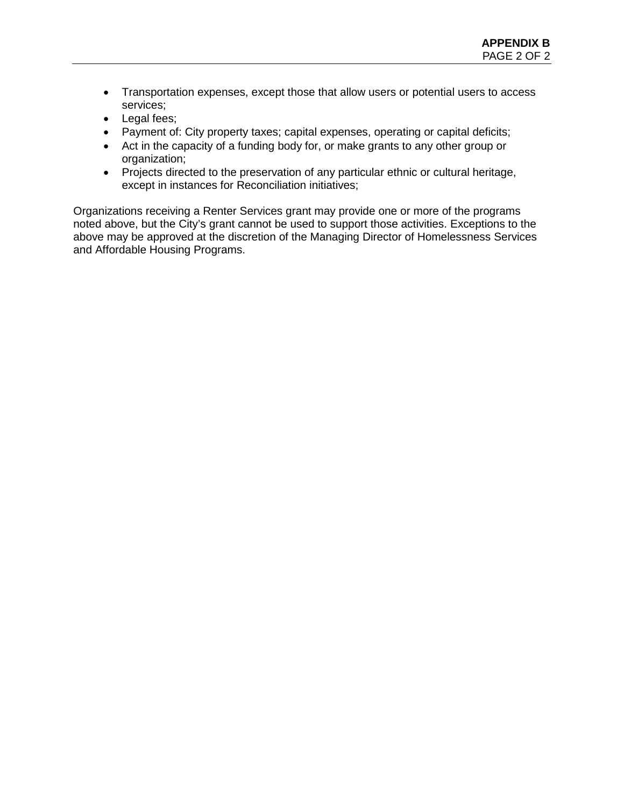- Transportation expenses, except those that allow users or potential users to access services;
- Legal fees;
- Payment of: City property taxes; capital expenses, operating or capital deficits;
- Act in the capacity of a funding body for, or make grants to any other group or organization;
- Projects directed to the preservation of any particular ethnic or cultural heritage, except in instances for Reconciliation initiatives;

Organizations receiving a Renter Services grant may provide one or more of the programs noted above, but the City's grant cannot be used to support those activities. Exceptions to the above may be approved at the discretion of the Managing Director of Homelessness Services and Affordable Housing Programs.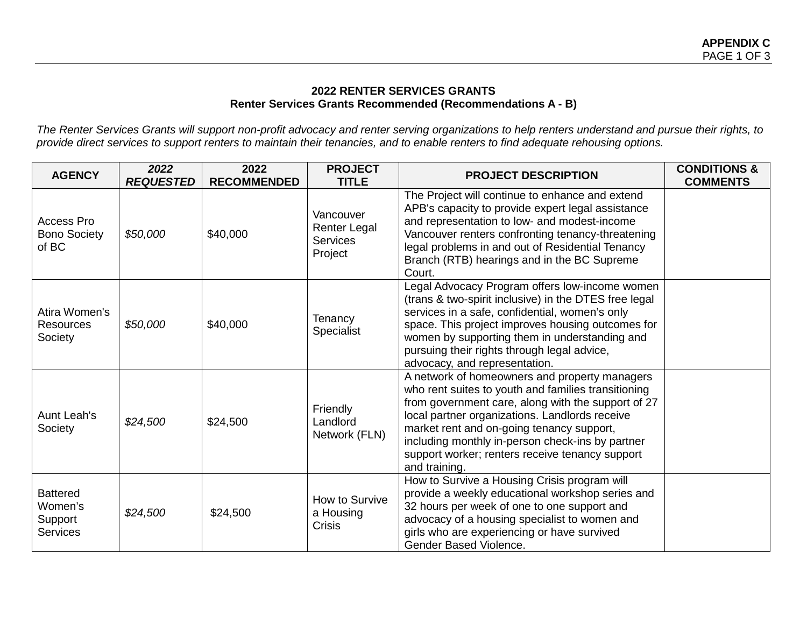# **2022 RENTER SERVICES GRANTS Renter Services Grants Recommended (Recommendations A - B)**

*The Renter Services Grants will support non-profit advocacy and renter serving organizations to help renters understand and pursue their rights, to provide direct services to support renters to maintain their tenancies, and to enable renters to find adequate rehousing options.*

| <b>AGENCY</b>                                            | 2022<br><b>REQUESTED</b> | 2022<br><b>RECOMMENDED</b> | <b>PROJECT</b><br><b>TITLE</b>                          | <b>PROJECT DESCRIPTION</b>                                                                                                                                                                                                                                                                                                                                                        | <b>CONDITIONS &amp;</b><br><b>COMMENTS</b> |
|----------------------------------------------------------|--------------------------|----------------------------|---------------------------------------------------------|-----------------------------------------------------------------------------------------------------------------------------------------------------------------------------------------------------------------------------------------------------------------------------------------------------------------------------------------------------------------------------------|--------------------------------------------|
| Access Pro<br><b>Bono Society</b><br>of BC               | \$50,000                 | \$40,000                   | Vancouver<br>Renter Legal<br><b>Services</b><br>Project | The Project will continue to enhance and extend<br>APB's capacity to provide expert legal assistance<br>and representation to low- and modest-income<br>Vancouver renters confronting tenancy-threatening<br>legal problems in and out of Residential Tenancy<br>Branch (RTB) hearings and in the BC Supreme<br>Court.                                                            |                                            |
| Atira Women's<br><b>Resources</b><br>Society             | \$50,000                 | \$40,000                   | Tenancy<br>Specialist                                   | Legal Advocacy Program offers low-income women<br>(trans & two-spirit inclusive) in the DTES free legal<br>services in a safe, confidential, women's only<br>space. This project improves housing outcomes for<br>women by supporting them in understanding and<br>pursuing their rights through legal advice,<br>advocacy, and representation.                                   |                                            |
| <b>Aunt Leah's</b><br>Society                            | \$24,500                 | \$24,500                   | Friendly<br>Landlord<br>Network (FLN)                   | A network of homeowners and property managers<br>who rent suites to youth and families transitioning<br>from government care, along with the support of 27<br>local partner organizations. Landlords receive<br>market rent and on-going tenancy support,<br>including monthly in-person check-ins by partner<br>support worker; renters receive tenancy support<br>and training. |                                            |
| <b>Battered</b><br>Women's<br>Support<br><b>Services</b> | \$24,500                 | \$24,500                   | How to Survive<br>a Housing<br>Crisis                   | How to Survive a Housing Crisis program will<br>provide a weekly educational workshop series and<br>32 hours per week of one to one support and<br>advocacy of a housing specialist to women and<br>girls who are experiencing or have survived<br>Gender Based Violence.                                                                                                         |                                            |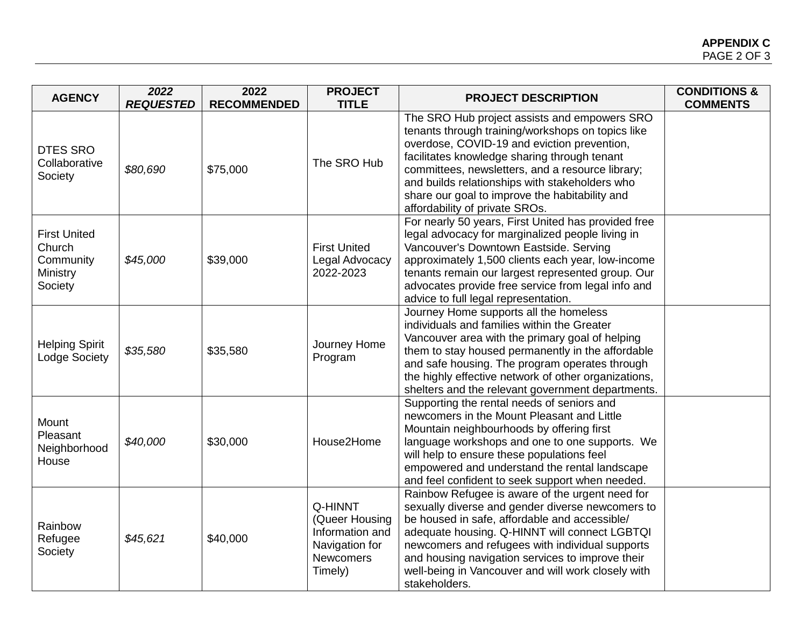| <b>AGENCY</b>                                                     | 2022<br><b>REQUESTED</b> | 2022<br><b>RECOMMENDED</b> | <b>PROJECT</b><br><b>TITLE</b>                                                                | <b>PROJECT DESCRIPTION</b>                                                                                                                                                                                                                                                                                                                                                                 | <b>CONDITIONS &amp;</b><br><b>COMMENTS</b> |
|-------------------------------------------------------------------|--------------------------|----------------------------|-----------------------------------------------------------------------------------------------|--------------------------------------------------------------------------------------------------------------------------------------------------------------------------------------------------------------------------------------------------------------------------------------------------------------------------------------------------------------------------------------------|--------------------------------------------|
| <b>DTES SRO</b><br>Collaborative<br>Society                       | \$80,690                 | \$75,000                   | The SRO Hub                                                                                   | The SRO Hub project assists and empowers SRO<br>tenants through training/workshops on topics like<br>overdose, COVID-19 and eviction prevention,<br>facilitates knowledge sharing through tenant<br>committees, newsletters, and a resource library;<br>and builds relationships with stakeholders who<br>share our goal to improve the habitability and<br>affordability of private SROs. |                                            |
| <b>First United</b><br>Church<br>Community<br>Ministry<br>Society | \$45,000                 | \$39,000                   | <b>First United</b><br>Legal Advocacy<br>2022-2023                                            | For nearly 50 years, First United has provided free<br>legal advocacy for marginalized people living in<br>Vancouver's Downtown Eastside. Serving<br>approximately 1,500 clients each year, low-income<br>tenants remain our largest represented group. Our<br>advocates provide free service from legal info and<br>advice to full legal representation.                                  |                                            |
| <b>Helping Spirit</b><br>Lodge Society                            | \$35,580                 | \$35,580                   | Journey Home<br>Program                                                                       | Journey Home supports all the homeless<br>individuals and families within the Greater<br>Vancouver area with the primary goal of helping<br>them to stay housed permanently in the affordable<br>and safe housing. The program operates through<br>the highly effective network of other organizations,<br>shelters and the relevant government departments.                               |                                            |
| Mount<br>Pleasant<br>Neighborhood<br>House                        | \$40,000                 | \$30,000                   | House2Home                                                                                    | Supporting the rental needs of seniors and<br>newcomers in the Mount Pleasant and Little<br>Mountain neighbourhoods by offering first<br>language workshops and one to one supports. We<br>will help to ensure these populations feel<br>empowered and understand the rental landscape<br>and feel confident to seek support when needed.                                                  |                                            |
| Rainbow<br>Refugee<br>Society                                     | \$45,621                 | \$40,000                   | Q-HINNT<br>(Queer Housing<br>Information and<br>Navigation for<br><b>Newcomers</b><br>Timely) | Rainbow Refugee is aware of the urgent need for<br>sexually diverse and gender diverse newcomers to<br>be housed in safe, affordable and accessible/<br>adequate housing. Q-HINNT will connect LGBTQI<br>newcomers and refugees with individual supports<br>and housing navigation services to improve their<br>well-being in Vancouver and will work closely with<br>stakeholders.        |                                            |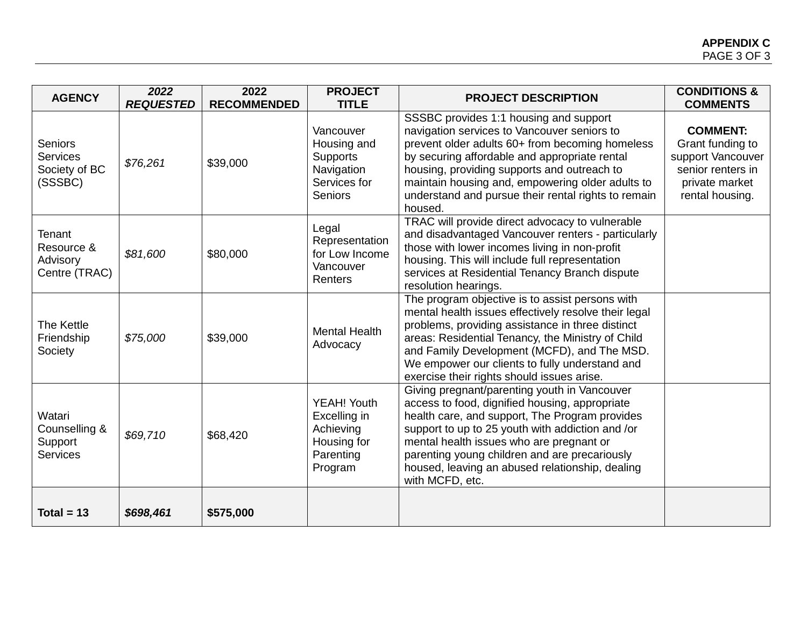| <b>AGENCY</b>                                                 | 2022<br><b>REQUESTED</b> | 2022<br><b>RECOMMENDED</b> | <b>PROJECT</b><br><b>TITLE</b>                                                              | <b>PROJECT DESCRIPTION</b>                                                                                                                                                                                                                                                                                                                                              | <b>CONDITIONS &amp;</b><br><b>COMMENTS</b>                                                                         |
|---------------------------------------------------------------|--------------------------|----------------------------|---------------------------------------------------------------------------------------------|-------------------------------------------------------------------------------------------------------------------------------------------------------------------------------------------------------------------------------------------------------------------------------------------------------------------------------------------------------------------------|--------------------------------------------------------------------------------------------------------------------|
| <b>Seniors</b><br><b>Services</b><br>Society of BC<br>(SSSBC) | \$76,261                 | \$39,000                   | Vancouver<br>Housing and<br><b>Supports</b><br>Navigation<br>Services for<br><b>Seniors</b> | SSSBC provides 1:1 housing and support<br>navigation services to Vancouver seniors to<br>prevent older adults 60+ from becoming homeless<br>by securing affordable and appropriate rental<br>housing, providing supports and outreach to<br>maintain housing and, empowering older adults to<br>understand and pursue their rental rights to remain<br>housed.          | <b>COMMENT:</b><br>Grant funding to<br>support Vancouver<br>senior renters in<br>private market<br>rental housing. |
| Tenant<br>Resource &<br>Advisory<br>Centre (TRAC)             | \$81,600                 | \$80,000                   | Legal<br>Representation<br>for Low Income<br>Vancouver<br>Renters                           | TRAC will provide direct advocacy to vulnerable<br>and disadvantaged Vancouver renters - particularly<br>those with lower incomes living in non-profit<br>housing. This will include full representation<br>services at Residential Tenancy Branch dispute<br>resolution hearings.                                                                                      |                                                                                                                    |
| The Kettle<br>Friendship<br>Society                           | \$75,000                 | \$39,000                   | <b>Mental Health</b><br>Advocacy                                                            | The program objective is to assist persons with<br>mental health issues effectively resolve their legal<br>problems, providing assistance in three distinct<br>areas: Residential Tenancy, the Ministry of Child<br>and Family Development (MCFD), and The MSD.<br>We empower our clients to fully understand and<br>exercise their rights should issues arise.         |                                                                                                                    |
| Watari<br>Counselling &<br>Support<br>Services                | \$69,710                 | \$68,420                   | YEAH! Youth<br>Excelling in<br>Achieving<br>Housing for<br>Parenting<br>Program             | Giving pregnant/parenting youth in Vancouver<br>access to food, dignified housing, appropriate<br>health care, and support, The Program provides<br>support to up to 25 youth with addiction and /or<br>mental health issues who are pregnant or<br>parenting young children and are precariously<br>housed, leaving an abused relationship, dealing<br>with MCFD, etc. |                                                                                                                    |
| Total = $13$                                                  | \$698,461                | \$575,000                  |                                                                                             |                                                                                                                                                                                                                                                                                                                                                                         |                                                                                                                    |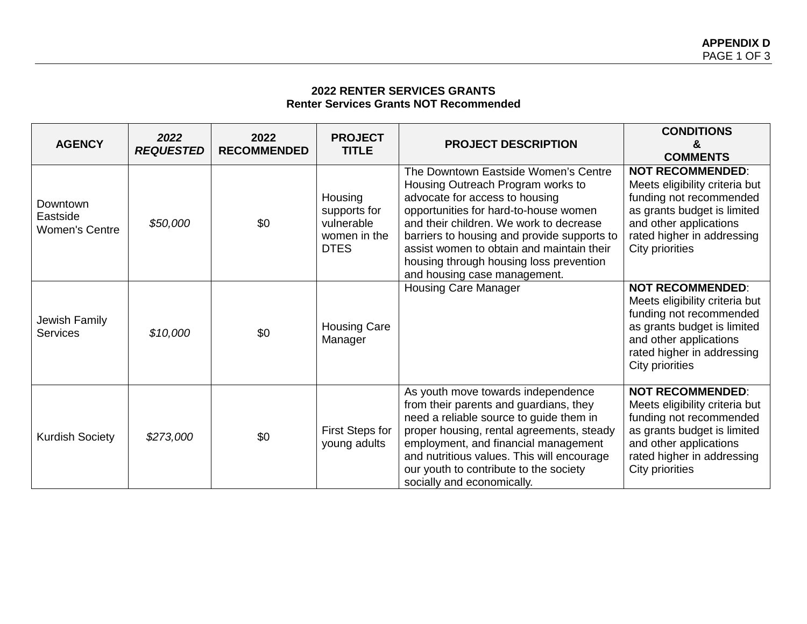# **2022 RENTER SERVICES GRANTS Renter Services Grants NOT Recommended**

| <b>AGENCY</b>                                 | 2022<br><b>REQUESTED</b> | 2022<br><b>RECOMMENDED</b> | <b>PROJECT</b><br><b>TITLE</b>                                       | <b>PROJECT DESCRIPTION</b>                                                                                                                                                                                                                                                                                                                                             | <b>CONDITIONS</b><br>&<br><b>COMMENTS</b>                                                                                                                                                      |
|-----------------------------------------------|--------------------------|----------------------------|----------------------------------------------------------------------|------------------------------------------------------------------------------------------------------------------------------------------------------------------------------------------------------------------------------------------------------------------------------------------------------------------------------------------------------------------------|------------------------------------------------------------------------------------------------------------------------------------------------------------------------------------------------|
| Downtown<br>Eastside<br><b>Women's Centre</b> | \$50,000                 | \$0                        | Housing<br>supports for<br>vulnerable<br>women in the<br><b>DTES</b> | The Downtown Eastside Women's Centre<br>Housing Outreach Program works to<br>advocate for access to housing<br>opportunities for hard-to-house women<br>and their children. We work to decrease<br>barriers to housing and provide supports to<br>assist women to obtain and maintain their<br>housing through housing loss prevention<br>and housing case management. | <b>NOT RECOMMENDED:</b><br>Meets eligibility criteria but<br>funding not recommended<br>as grants budget is limited<br>and other applications<br>rated higher in addressing<br>City priorities |
| Jewish Family<br><b>Services</b>              | \$10,000                 | \$0                        | <b>Housing Care</b><br>Manager                                       | <b>Housing Care Manager</b>                                                                                                                                                                                                                                                                                                                                            | <b>NOT RECOMMENDED:</b><br>Meets eligibility criteria but<br>funding not recommended<br>as grants budget is limited<br>and other applications<br>rated higher in addressing<br>City priorities |
| <b>Kurdish Society</b>                        | \$273,000                | \$0                        | First Steps for<br>young adults                                      | As youth move towards independence<br>from their parents and guardians, they<br>need a reliable source to guide them in<br>proper housing, rental agreements, steady<br>employment, and financial management<br>and nutritious values. This will encourage<br>our youth to contribute to the society<br>socially and economically.                                     | <b>NOT RECOMMENDED:</b><br>Meets eligibility criteria but<br>funding not recommended<br>as grants budget is limited<br>and other applications<br>rated higher in addressing<br>City priorities |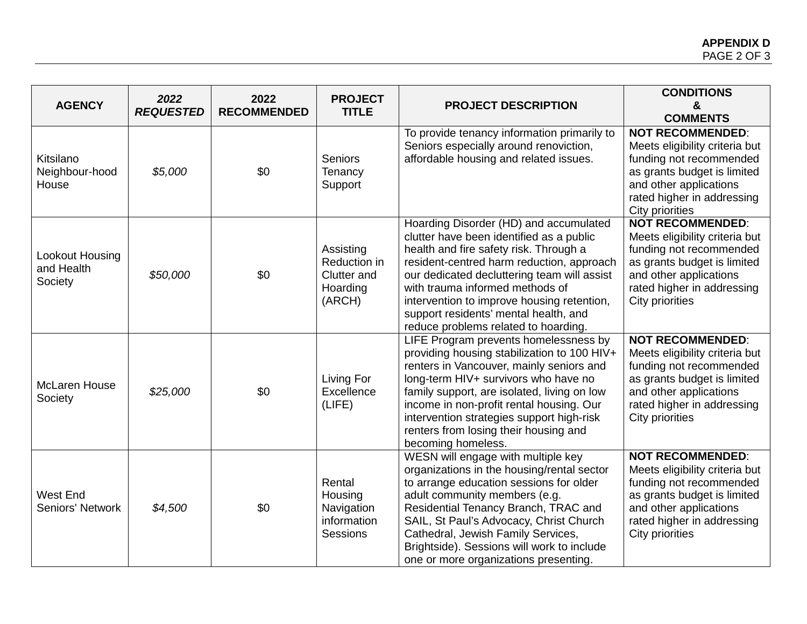| <b>AGENCY</b>                              | 2022<br><b>REQUESTED</b> | 2022<br><b>RECOMMENDED</b> | <b>PROJECT</b><br><b>TITLE</b>                                 | <b>PROJECT DESCRIPTION</b>                                                                                                                                                                                                                                                                                                                                                                 | <b>CONDITIONS</b><br>&<br><b>COMMENTS</b>                                                                                                                                                      |
|--------------------------------------------|--------------------------|----------------------------|----------------------------------------------------------------|--------------------------------------------------------------------------------------------------------------------------------------------------------------------------------------------------------------------------------------------------------------------------------------------------------------------------------------------------------------------------------------------|------------------------------------------------------------------------------------------------------------------------------------------------------------------------------------------------|
| Kitsilano<br>Neighbour-hood<br>House       | \$5,000                  | \$0                        | <b>Seniors</b><br>Tenancy<br>Support                           | To provide tenancy information primarily to<br>Seniors especially around renoviction,<br>affordable housing and related issues.                                                                                                                                                                                                                                                            | <b>NOT RECOMMENDED:</b><br>Meets eligibility criteria but<br>funding not recommended<br>as grants budget is limited<br>and other applications<br>rated higher in addressing<br>City priorities |
| Lookout Housing<br>and Health<br>Society   | \$50,000                 | \$0                        | Assisting<br>Reduction in<br>Clutter and<br>Hoarding<br>(ARCH) | Hoarding Disorder (HD) and accumulated<br>clutter have been identified as a public<br>health and fire safety risk. Through a<br>resident-centred harm reduction, approach<br>our dedicated decluttering team will assist<br>with trauma informed methods of<br>intervention to improve housing retention,<br>support residents' mental health, and<br>reduce problems related to hoarding. | <b>NOT RECOMMENDED:</b><br>Meets eligibility criteria but<br>funding not recommended<br>as grants budget is limited<br>and other applications<br>rated higher in addressing<br>City priorities |
| McLaren House<br>Society                   | \$25,000                 | \$0                        | Living For<br>Excellence<br>(LIFE)                             | LIFE Program prevents homelessness by<br>providing housing stabilization to 100 HIV+<br>renters in Vancouver, mainly seniors and<br>long-term HIV+ survivors who have no<br>family support, are isolated, living on low<br>income in non-profit rental housing. Our<br>intervention strategies support high-risk<br>renters from losing their housing and<br>becoming homeless.            | <b>NOT RECOMMENDED:</b><br>Meets eligibility criteria but<br>funding not recommended<br>as grants budget is limited<br>and other applications<br>rated higher in addressing<br>City priorities |
| <b>West End</b><br><b>Seniors' Network</b> | \$4,500                  | \$0                        | Rental<br>Housing<br>Navigation<br>information<br>Sessions     | WESN will engage with multiple key<br>organizations in the housing/rental sector<br>to arrange education sessions for older<br>adult community members (e.g.<br>Residential Tenancy Branch, TRAC and<br>SAIL, St Paul's Advocacy, Christ Church<br>Cathedral, Jewish Family Services,<br>Brightside). Sessions will work to include<br>one or more organizations presenting.               | <b>NOT RECOMMENDED:</b><br>Meets eligibility criteria but<br>funding not recommended<br>as grants budget is limited<br>and other applications<br>rated higher in addressing<br>City priorities |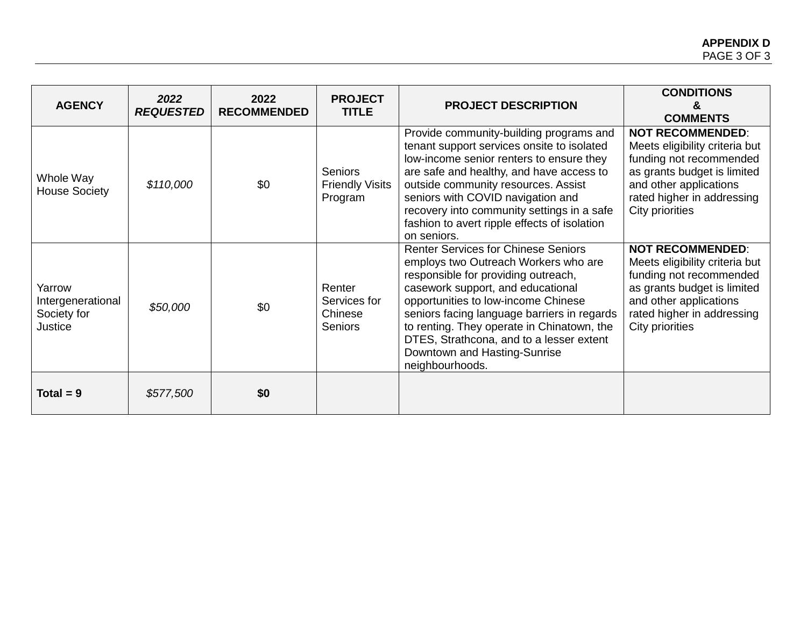| <b>AGENCY</b>                                         | 2022<br><b>REQUESTED</b> | 2022<br><b>RECOMMENDED</b> | <b>PROJECT</b><br><b>TITLE</b>                      | <b>PROJECT DESCRIPTION</b>                                                                                                                                                                                                                                                                                                                                                                        | <b>CONDITIONS</b><br>ጼ.<br><b>COMMENTS</b>                                                                                                                                                     |
|-------------------------------------------------------|--------------------------|----------------------------|-----------------------------------------------------|---------------------------------------------------------------------------------------------------------------------------------------------------------------------------------------------------------------------------------------------------------------------------------------------------------------------------------------------------------------------------------------------------|------------------------------------------------------------------------------------------------------------------------------------------------------------------------------------------------|
| Whole Way<br><b>House Society</b>                     | \$110,000                | \$0                        | <b>Seniors</b><br><b>Friendly Visits</b><br>Program | Provide community-building programs and<br>tenant support services onsite to isolated<br>low-income senior renters to ensure they<br>are safe and healthy, and have access to<br>outside community resources. Assist<br>seniors with COVID navigation and<br>recovery into community settings in a safe<br>fashion to avert ripple effects of isolation<br>on seniors.                            | <b>NOT RECOMMENDED:</b><br>Meets eligibility criteria but<br>funding not recommended<br>as grants budget is limited<br>and other applications<br>rated higher in addressing<br>City priorities |
| Yarrow<br>Intergenerational<br>Society for<br>Justice | \$50,000                 | \$0                        | Renter<br>Services for<br>Chinese<br><b>Seniors</b> | <b>Renter Services for Chinese Seniors</b><br>employs two Outreach Workers who are<br>responsible for providing outreach,<br>casework support, and educational<br>opportunities to low-income Chinese<br>seniors facing language barriers in regards<br>to renting. They operate in Chinatown, the<br>DTES, Strathcona, and to a lesser extent<br>Downtown and Hasting-Sunrise<br>neighbourhoods. | <b>NOT RECOMMENDED:</b><br>Meets eligibility criteria but<br>funding not recommended<br>as grants budget is limited<br>and other applications<br>rated higher in addressing<br>City priorities |
| $Total = 9$                                           | \$577,500                | \$0                        |                                                     |                                                                                                                                                                                                                                                                                                                                                                                                   |                                                                                                                                                                                                |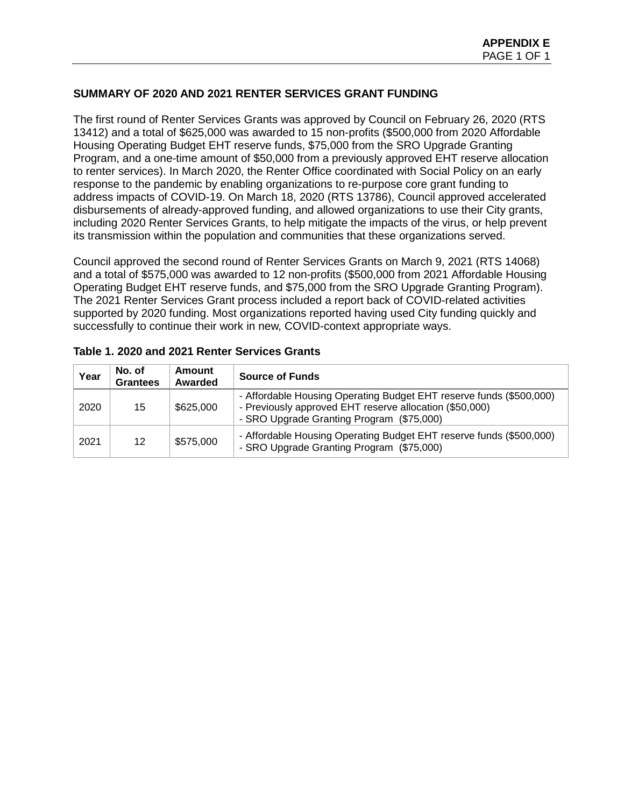## **SUMMARY OF 2020 AND 2021 RENTER SERVICES GRANT FUNDING**

The first round of Renter Services Grants was approved by Council on February 26, 2020 (RTS 13412) and a total of \$625,000 was awarded to 15 non-profits (\$500,000 from 2020 Affordable Housing Operating Budget EHT reserve funds, \$75,000 from the SRO Upgrade Granting Program, and a one-time amount of \$50,000 from a previously approved EHT reserve allocation to renter services). In March 2020, the Renter Office coordinated with Social Policy on an early response to the pandemic by enabling organizations to re-purpose core grant funding to address impacts of COVID-19. On March 18, 2020 (RTS 13786), Council approved accelerated disbursements of already-approved funding, and allowed organizations to use their City grants, including 2020 Renter Services Grants, to help mitigate the impacts of the virus, or help prevent its transmission within the population and communities that these organizations served.

Council approved the second round of Renter Services Grants on March 9, 2021 (RTS 14068) and a total of \$575,000 was awarded to 12 non-profits (\$500,000 from 2021 Affordable Housing Operating Budget EHT reserve funds, and \$75,000 from the SRO Upgrade Granting Program). The 2021 Renter Services Grant process included a report back of COVID-related activities supported by 2020 funding. Most organizations reported having used City funding quickly and successfully to continue their work in new, COVID-context appropriate ways.

| Year | No. of<br><b>Grantees</b> | <b>Amount</b><br>Awarded | <b>Source of Funds</b>                                                                                                                                                      |
|------|---------------------------|--------------------------|-----------------------------------------------------------------------------------------------------------------------------------------------------------------------------|
| 2020 | 15                        | \$625,000                | - Affordable Housing Operating Budget EHT reserve funds (\$500,000)<br>- Previously approved EHT reserve allocation (\$50,000)<br>- SRO Upgrade Granting Program (\$75,000) |
| 2021 | 12                        | \$575,000                | - Affordable Housing Operating Budget EHT reserve funds (\$500,000)<br>- SRO Upgrade Granting Program (\$75,000)                                                            |

|  | Table 1. 2020 and 2021 Renter Services Grants |  |  |  |  |
|--|-----------------------------------------------|--|--|--|--|
|--|-----------------------------------------------|--|--|--|--|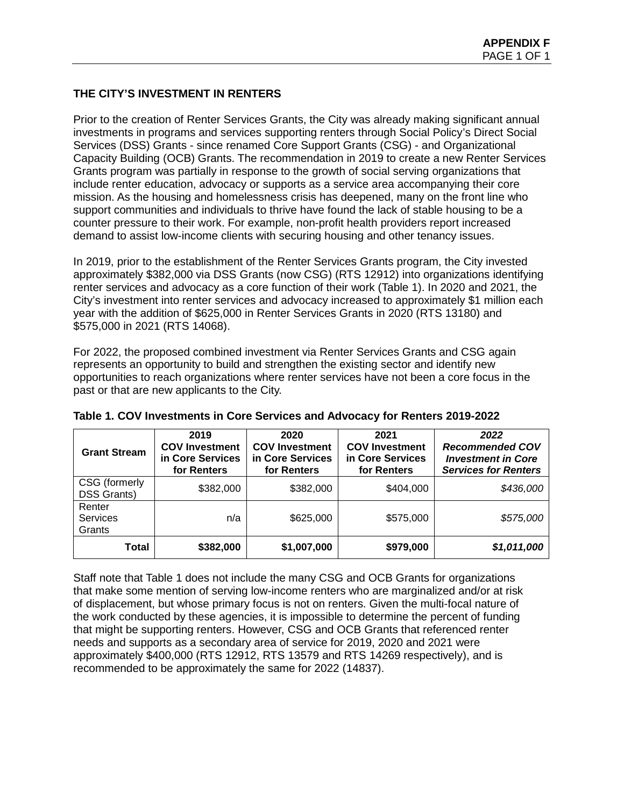# **THE CITY'S INVESTMENT IN RENTERS**

Prior to the creation of Renter Services Grants, the City was already making significant annual investments in programs and services supporting renters through Social Policy's Direct Social Services (DSS) Grants - since renamed Core Support Grants (CSG) - and Organizational Capacity Building (OCB) Grants. The recommendation in 2019 to create a new Renter Services Grants program was partially in response to the growth of social serving organizations that include renter education, advocacy or supports as a service area accompanying their core mission. As the housing and homelessness crisis has deepened, many on the front line who support communities and individuals to thrive have found the lack of stable housing to be a counter pressure to their work. For example, non-profit health providers report increased demand to assist low-income clients with securing housing and other tenancy issues.

In 2019, prior to the establishment of the Renter Services Grants program, the City invested approximately \$382,000 via DSS Grants (now CSG) (RTS 12912) into organizations identifying renter services and advocacy as a core function of their work (Table 1). In 2020 and 2021, the City's investment into renter services and advocacy increased to approximately \$1 million each year with the addition of \$625,000 in Renter Services Grants in 2020 (RTS 13180) and \$575,000 in 2021 (RTS 14068).

For 2022, the proposed combined investment via Renter Services Grants and CSG again represents an opportunity to build and strengthen the existing sector and identify new opportunities to reach organizations where renter services have not been a core focus in the past or that are new applicants to the City.

| <b>Grant Stream</b>                 | 2019<br><b>COV Investment</b><br>in Core Services<br>for Renters | 2020<br><b>COV Investment</b><br>in Core Services<br>for Renters | 2021<br><b>COV Investment</b><br>in Core Services<br>for Renters | 2022<br><b>Recommended COV</b><br><b>Investment in Core</b><br><b>Services for Renters</b> |
|-------------------------------------|------------------------------------------------------------------|------------------------------------------------------------------|------------------------------------------------------------------|--------------------------------------------------------------------------------------------|
| CSG (formerly<br><b>DSS Grants)</b> | \$382,000                                                        | \$382,000                                                        | \$404,000                                                        | \$436,000                                                                                  |
| Renter<br><b>Services</b><br>Grants | n/a                                                              | \$625,000                                                        | \$575,000                                                        | \$575,000                                                                                  |
| <b>Total</b>                        | \$382,000                                                        | \$1,007,000                                                      | \$979,000                                                        | \$1,011,000                                                                                |

|  |  | Table 1. COV Investments in Core Services and Advocacy for Renters 2019-2022 |
|--|--|------------------------------------------------------------------------------|
|--|--|------------------------------------------------------------------------------|

Staff note that Table 1 does not include the many CSG and OCB Grants for organizations that make some mention of serving low-income renters who are marginalized and/or at risk of displacement, but whose primary focus is not on renters. Given the multi-focal nature of the work conducted by these agencies, it is impossible to determine the percent of funding that might be supporting renters. However, CSG and OCB Grants that referenced renter needs and supports as a secondary area of service for 2019, 2020 and 2021 were approximately \$400,000 (RTS 12912, RTS 13579 and RTS 14269 respectively), and is recommended to be approximately the same for 2022 (14837).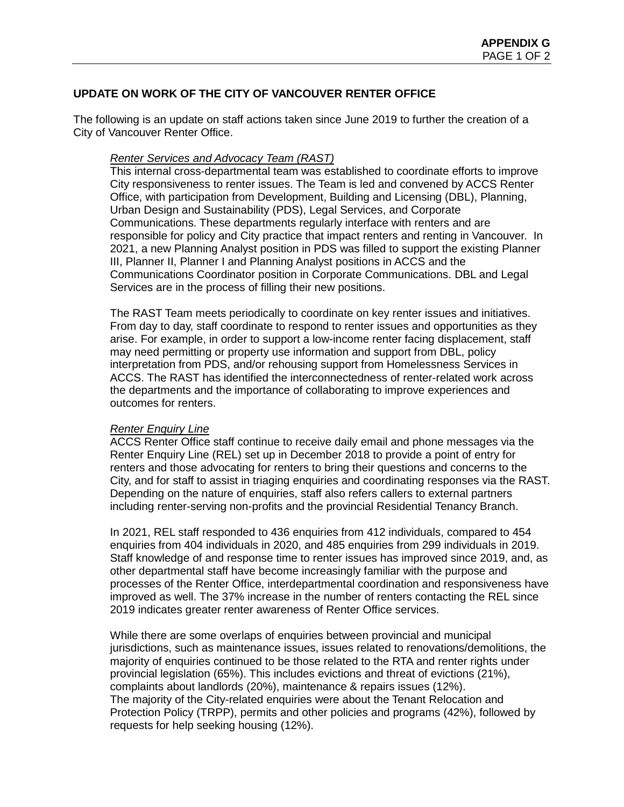## **UPDATE ON WORK OF THE CITY OF VANCOUVER RENTER OFFICE**

The following is an update on staff actions taken since June 2019 to further the creation of a City of Vancouver Renter Office.

### *Renter Services and Advocacy Team (RAST)*

This internal cross-departmental team was established to coordinate efforts to improve City responsiveness to renter issues. The Team is led and convened by ACCS Renter Office, with participation from Development, Building and Licensing (DBL), Planning, Urban Design and Sustainability (PDS), Legal Services, and Corporate Communications. These departments regularly interface with renters and are responsible for policy and City practice that impact renters and renting in Vancouver. In 2021, a new Planning Analyst position in PDS was filled to support the existing Planner III, Planner II, Planner I and Planning Analyst positions in ACCS and the Communications Coordinator position in Corporate Communications. DBL and Legal Services are in the process of filling their new positions.

The RAST Team meets periodically to coordinate on key renter issues and initiatives. From day to day, staff coordinate to respond to renter issues and opportunities as they arise. For example, in order to support a low-income renter facing displacement, staff may need permitting or property use information and support from DBL, policy interpretation from PDS, and/or rehousing support from Homelessness Services in ACCS. The RAST has identified the interconnectedness of renter-related work across the departments and the importance of collaborating to improve experiences and outcomes for renters.

## *Renter Enquiry Line*

ACCS Renter Office staff continue to receive daily email and phone messages via the Renter Enquiry Line (REL) set up in December 2018 to provide a point of entry for renters and those advocating for renters to bring their questions and concerns to the City, and for staff to assist in triaging enquiries and coordinating responses via the RAST. Depending on the nature of enquiries, staff also refers callers to external partners including renter-serving non-profits and the provincial Residential Tenancy Branch.

In 2021, REL staff responded to 436 enquiries from 412 individuals, compared to 454 enquiries from 404 individuals in 2020, and 485 enquiries from 299 individuals in 2019. Staff knowledge of and response time to renter issues has improved since 2019, and, as other departmental staff have become increasingly familiar with the purpose and processes of the Renter Office, interdepartmental coordination and responsiveness have improved as well. The 37% increase in the number of renters contacting the REL since 2019 indicates greater renter awareness of Renter Office services.

While there are some overlaps of enquiries between provincial and municipal jurisdictions, such as maintenance issues, issues related to renovations/demolitions, the majority of enquiries continued to be those related to the RTA and renter rights under provincial legislation (65%). This includes evictions and threat of evictions (21%), complaints about landlords (20%), maintenance & repairs issues (12%). The majority of the City-related enquiries were about the Tenant Relocation and Protection Policy (TRPP), permits and other policies and programs (42%), followed by requests for help seeking housing (12%).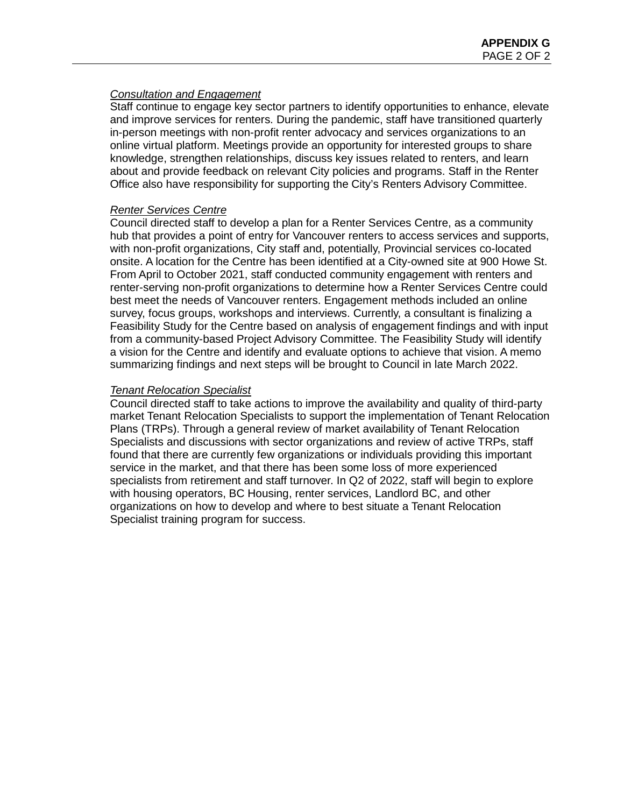### *Consultation and Engagement*

Staff continue to engage key sector partners to identify opportunities to enhance, elevate and improve services for renters. During the pandemic, staff have transitioned quarterly in-person meetings with non-profit renter advocacy and services organizations to an online virtual platform. Meetings provide an opportunity for interested groups to share knowledge, strengthen relationships, discuss key issues related to renters, and learn about and provide feedback on relevant City policies and programs. Staff in the Renter Office also have responsibility for supporting the City's Renters Advisory Committee.

### *Renter Services Centre*

Council directed staff to develop a plan for a Renter Services Centre, as a community hub that provides a point of entry for Vancouver renters to access services and supports, with non-profit organizations, City staff and, potentially, Provincial services co-located onsite. A location for the Centre has been identified at a City-owned site at 900 Howe St. From April to October 2021, staff conducted community engagement with renters and renter-serving non-profit organizations to determine how a Renter Services Centre could best meet the needs of Vancouver renters. Engagement methods included an online survey, focus groups, workshops and interviews. Currently, a consultant is finalizing a Feasibility Study for the Centre based on analysis of engagement findings and with input from a community-based Project Advisory Committee. The Feasibility Study will identify a vision for the Centre and identify and evaluate options to achieve that vision. A memo summarizing findings and next steps will be brought to Council in late March 2022.

### *Tenant Relocation Specialist*

Council directed staff to take actions to improve the availability and quality of third-party market Tenant Relocation Specialists to support the implementation of Tenant Relocation Plans (TRPs). Through a general review of market availability of Tenant Relocation Specialists and discussions with sector organizations and review of active TRPs, staff found that there are currently few organizations or individuals providing this important service in the market, and that there has been some loss of more experienced specialists from retirement and staff turnover. In Q2 of 2022, staff will begin to explore with housing operators, BC Housing, renter services, Landlord BC, and other organizations on how to develop and where to best situate a Tenant Relocation Specialist training program for success.